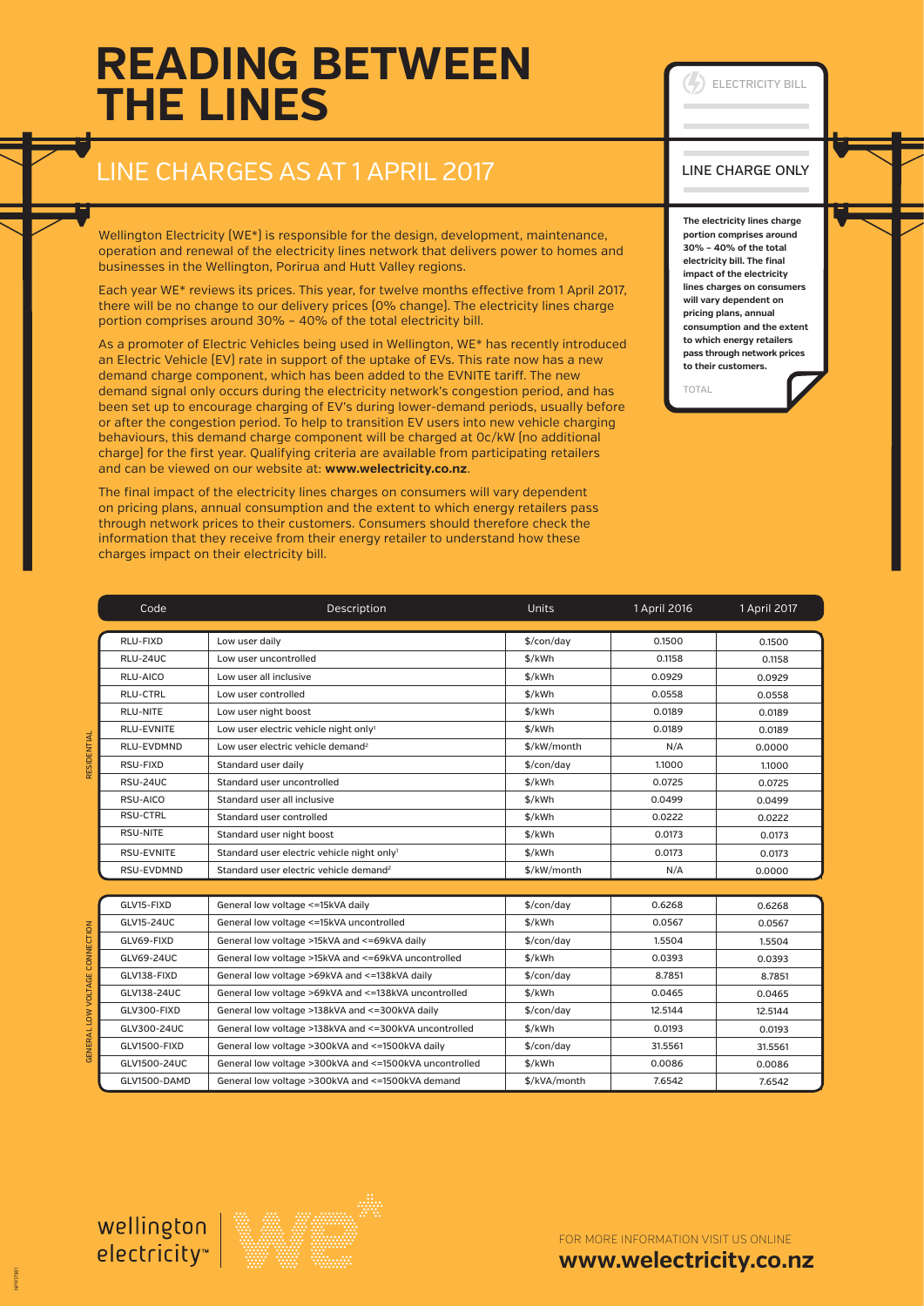## **READING BETWEEN THE LINES**

### LINE CHARGES AS AT 1 APRIL 2017

Wellington Electricity (WE\*) is responsible for the design, development, maintenance, operation and renewal of the electricity lines network that delivers power to homes and businesses in the Wellington, Porirua and Hutt Valley regions.

Each year WE\* reviews its prices. This year, for twelve months effective from 1 April 2017, there will be no change to our delivery prices (0% change). The electricity lines charge portion comprises around 30% – 40% of the total electricity bill.

As a promoter of Electric Vehicles being used in Wellington, WE\* has recently introduced an Electric Vehicle (EV) rate in support of the uptake of EVs. This rate now has a new demand charge component, which has been added to the EVNITE tariff. The new demand signal only occurs during the electricity network's congestion period, and has been set up to encourage charging of EV's during lower-demand periods, usually before or after the congestion period. To help to transition EV users into new vehicle charging behaviours, this demand charge component will be charged at 0c/kW (no additional charge) for the first year. Qualifying criteria are available from participating retailers and can be viewed on our website at: **www.welectricity.co.nz**.

The final impact of the electricity lines charges on consumers will vary dependent on pricing plans, annual consumption and the extent to which energy retailers pass through network prices to their customers. Consumers should therefore check the information that they receive from their energy retailer to understand how these charges impact on their electricity bill.

| Code              | Description                                             | <b>Units</b>           | 1 April 2016 | 1 April 2017 |
|-------------------|---------------------------------------------------------|------------------------|--------------|--------------|
|                   |                                                         |                        |              |              |
| RLU-FIXD          | Low user daily                                          | \$/con/day             | 0.1500       | 0.1500       |
| RLU-24UC          | Low user uncontrolled                                   | \$/kWh                 | 0.1158       | 0.1158       |
| RLU-AICO          | Low user all inclusive                                  | \$/kWh                 | 0.0929       | 0.0929       |
| RLU-CTRL          | Low user controlled                                     | \$/kWh                 | 0.0558       | 0.0558       |
| <b>RLU-NITE</b>   | Low user night boost                                    | \$/kWh                 | 0.0189       | 0.0189       |
| <b>RLU-EVNITE</b> | Low user electric vehicle night only1                   | \$/kWh                 | 0.0189       | 0.0189       |
| RLU-EVDMND        | Low user electric vehicle demand <sup>2</sup>           | \$/kW/month            | N/A          | 0.0000       |
| RSU-FIXD          | Standard user daily                                     | \$/con/day             | 1.1000       | 1.1000       |
| RSU-24UC          | Standard user uncontrolled                              | \$/kWh                 | 0.0725       | 0.0725       |
| RSU-AICO          | Standard user all inclusive                             | \$/kWh                 | 0.0499       | 0.0499       |
| <b>RSU-CTRL</b>   | Standard user controlled                                | \$/kWh                 | 0.0222       | 0.0222       |
| RSU-NITE          | Standard user night boost                               | \$/kWh                 | 0.0173       | 0.0173       |
| <b>RSU-EVNITE</b> | Standard user electric vehicle night only <sup>1</sup>  | \$/kWh                 | 0.0173       | 0.0173       |
| RSU-EVDMND        | Standard user electric vehicle demand <sup>2</sup>      | \$/kW/month            | N/A          | 0.0000       |
|                   |                                                         |                        |              |              |
| GLV15-FIXD        | General low voltage <= 15kVA daily                      | \$/con/day             | 0.6268       | 0.6268       |
| GLV15-24UC        | General low voltage <= 15kVA uncontrolled               | \$/kWh                 | 0.0567       | 0.0567       |
| GLV69-FIXD        | General low voltage >15kVA and <= 69kVA daily           | $\frac{1}{2}$ /con/day | 1.5504       | 1.5504       |
| GLV69-24UC        | General low voltage >15kVA and <= 69kVA uncontrolled    | \$/kWh                 | 0.0393       | 0.0393       |
| GLV138-FIXD       | General low voltage >69kVA and <= 138kVA daily          | $\frac{1}{2}$ /con/day | 8.7851       | 8.7851       |
| GLV138-24UC       | General low voltage >69kVA and <= 138kVA uncontrolled   | \$/kWh                 | 0.0465       | 0.0465       |
| GLV300-FIXD       | General low voltage >138kVA and <= 300kVA daily         | $\frac{1}{2}$ /con/day | 12.5144      | 12.5144      |
| GLV300-24UC       | General low voltage >138kVA and <= 300kVA uncontrolled  | \$/kWh                 | 0.0193       | 0.0193       |
| GLV1500-FIXD      | General low voltage >300kVA and <= 1500kVA daily        | $\frac{1}{2}$ /con/day | 31.5561      | 31.5561      |
| GLV1500-24UC      | General low voltage >300kVA and <= 1500kVA uncontrolled | \$/kWh                 | 0.0086       | 0.0086       |
| GLV1500-DAMD      | General low voltage >300kVA and <= 1500kVA demand       | \$/kVA/month           | 7.6542       | 7.6542       |

#### LINE CHARGE ONLY

ELECTRICITY BILL

**The electricity lines charge portion comprises around 30% – 40% of the total electricity bill. The final impact of the electricity lines charges on consumers will vary dependent on pricing plans, annual consumption and the extent to which energy retailers pass through network prices to their customers.** 

TOTAL

NPR17981

RESIDENTIAL

NERAL LOW VOLTAGE CONNECTION GENERAL LOW VOLTAGE CONNECTION